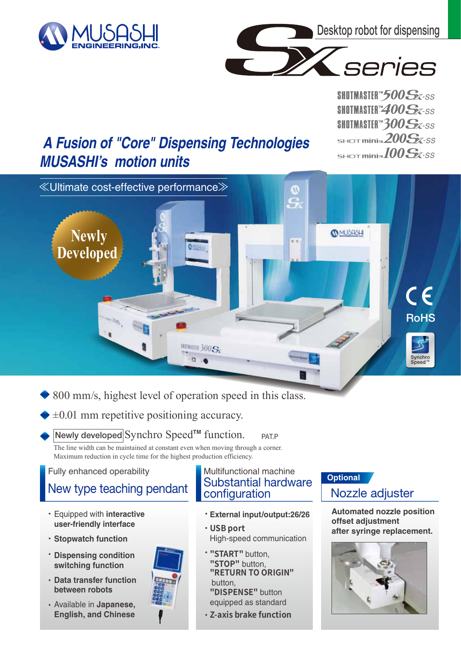

**Newly**

**Developed** 



**COMUSASH** 

5

 $\frac{1}{6}$  is

SHOTMASTER<sup>th</sup>500Sx-ss **SHOTMASTER"400Sx-SS** SHOTMASTER<sup>W</sup>300Sx-ss SHOT mini $\approx$  200 $S$ *X*-SS  $S<sub>HDT</sub>$ mini<sub>m</sub> $100S$ x-SS

**RoHS** 

5S

Synchro<br>Speed™

 $\epsilon$ 

# **A Fusion of "Core" Dispensing Technologies MUSASHI's motion units**

≪Ultimate cost-effective performance≫

800 mm/s, highest level of operation speed in this class.

**MININE 300 SK** 

 $\mathbb{R} \rightarrow \mathbb{R}$ 

 $\pm 0.01$  mm repetitive positioning accuracy.

#### PAT.P Newly developed Synchro Speed<sup>™</sup> function.

The line width can be maintained at constant even when moving through a corner. Maximum reduction in cycle time for the highest production efficiency.

#### Fully enhanced operability

- Equipped with **interactive**  ・ **user-friendly interface**
- **Stopwatch function** ・
- **Dispensing condition** ・**switching function**
- **Data transfer function** ・ **between robots**
- Available in **Japanese,**  ・ **English, and Chinese**



#### New type teaching pendant Substantial hardware configuration Multifunctional machine

- **External input/output:26/26** ・
- **USB port** ・ High-speed communication
- **"START"** button, ・ **"STOP"** button, **"RETURN TO ORIGIN"** button,
	- **"DISPENSE"** button equipped as standard
- **Z-axis brake function** ・

## **Optional**

### Nozzle adjuster

**Automated nozzle position offset adjustment after syringe replacement.**